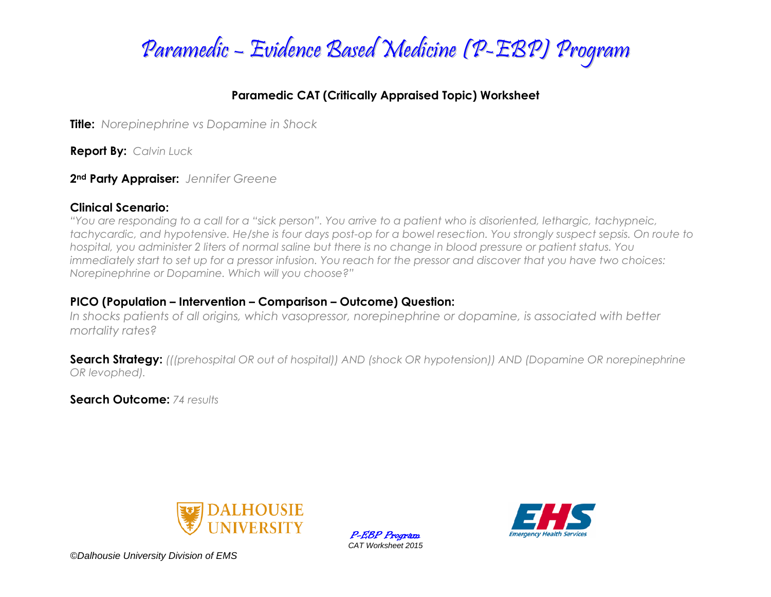

## **Paramedic CAT (Critically Appraised Topic) Worksheet**

**Title:** *Norepinephrine vs Dopamine in Shock*

**Report By:** *Calvin Luck*

**2nd Party Appraiser:** *Jennifer Greene*

### **Clinical Scenario:**

*"You are responding to a call for a "sick person". You arrive to a patient who is disoriented, lethargic, tachypneic, tachycardic, and hypotensive. He/she is four days post-op for a bowel resection. You strongly suspect sepsis. On route to hospital, you administer 2 liters of normal saline but there is no change in blood pressure or patient status. You immediately start to set up for a pressor infusion. You reach for the pressor and discover that you have two choices: Norepinephrine or Dopamine. Which will you choose?"*

## **PICO (Population – Intervention – Comparison – Outcome) Question:**

*In shocks patients of all origins, which vasopressor, norepinephrine or dopamine, is associated with better mortality rates?*

**Search Strategy:** *(((prehospital OR out of hospital)) AND (shock OR hypotension)) AND (Dopamine OR norepinephrine OR levophed).*

**Search Outcome:** *74 results*





*©Dalhousie University Division of EMS*

P-EBP Program *CAT Worksheet 2015*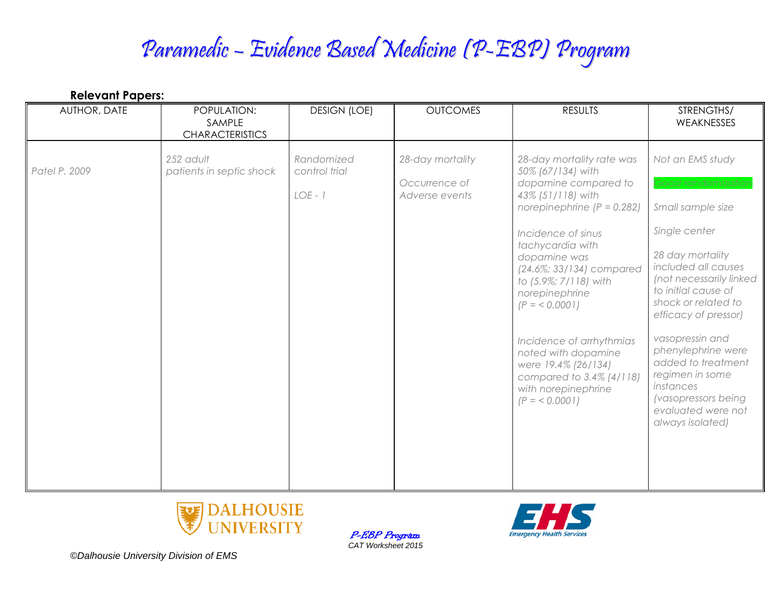# Paramedic – Evidence Based Medicine (P-EBP) Program

| <b>DESIGN (LOE)</b><br><b>OUTCOMES</b><br><b>RESULTS</b><br>AUTHOR, DATE<br>POPULATION:                                                                                                                                                                                                                                                                                                                                                                                                                                                                                                                                  | STRENGTHS/                                                                                                                                                                                                                                                                                                                                                 |
|--------------------------------------------------------------------------------------------------------------------------------------------------------------------------------------------------------------------------------------------------------------------------------------------------------------------------------------------------------------------------------------------------------------------------------------------------------------------------------------------------------------------------------------------------------------------------------------------------------------------------|------------------------------------------------------------------------------------------------------------------------------------------------------------------------------------------------------------------------------------------------------------------------------------------------------------------------------------------------------------|
| SAMPLE<br><b>CHARACTERISTICS</b>                                                                                                                                                                                                                                                                                                                                                                                                                                                                                                                                                                                         | WEAKNESSES                                                                                                                                                                                                                                                                                                                                                 |
| 28-day mortality<br>252 adult<br>Randomized<br>28-day mortality rate was<br>patients in septic shock<br>Patel P. 2009<br>control trial<br>50% (67/134) with<br>dopamine compared to<br>Occurrence of<br>$LOE - 1$<br>Adverse events<br>43% (51/118) with<br>norepinephrine $(P = 0.282)$<br>Single center<br>Incidence of sinus<br>tachycardia with<br>dopamine was<br>(24.6%; 33/134) compared<br>to (5.9%; 7/118) with<br>norepinephrine<br>$(P = 0.0001)$<br>Incidence of arrhythmias<br>noted with dopamine<br>were 19.4% (26/134)<br>compared to 3.4% (4/118)<br>instances<br>with norepinephrine<br>$(P = 0.0001)$ | Not an EMS study<br>Good randomizatio<br>Small sample size<br>28 day mortality<br>included all causes<br>(not necessarily linked<br>to initial cause of<br>shock or related to<br>efficacy of pressor)<br>vasopressin and<br>phenylephrine were<br>added to treatment<br>regimen in some<br>(vasopressors being)<br>evaluated were not<br>always isolated) |



P-EBP Program *CAT Worksheet 2015*



*©Dalhousie University Division of EMS*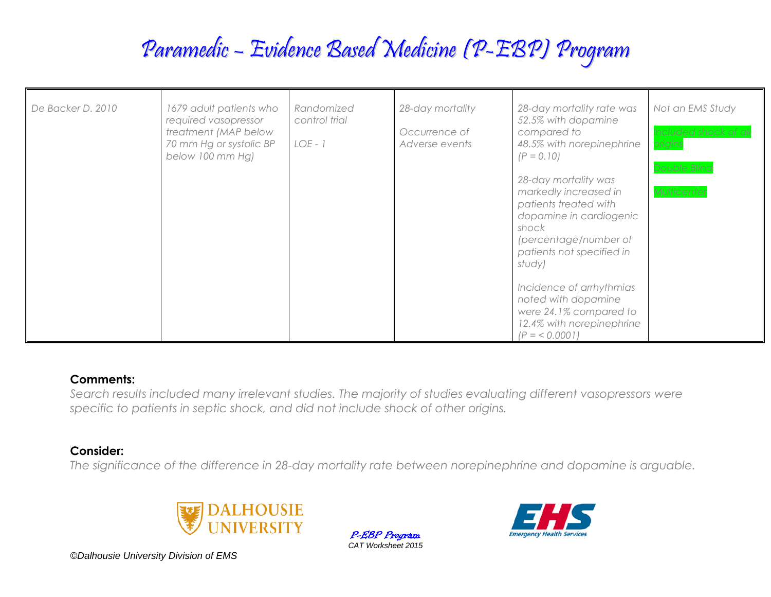## Paramedic – Evidence Based Medicine (P-EBP) Program

| De Backer D. 2010 | 1679 adult patients who<br>required vasopressor<br>treatment (MAP below<br>70 mm Hg or systolic BP<br>below 100 mm Hg) | Randomized<br>control trial<br>$LOE - 1$ | 28-day mortality<br>Occurrence of<br>Adverse events | 28-day mortality rate was<br>52.5% with dopamine<br>compared to<br>48.5% with norepinephrine<br>$(P = 0.10)$<br>28-day mortality was<br>markedly increased in<br>patients treated with<br>dopamine in cardiogenic<br>shock<br>(percentage/number of<br>patients not specified in<br>study)<br>Incidence of arrhythmias<br>noted with dopamine<br>were 24.1% compared to<br>12.4% with norepinephrine<br>$(P = 0.0001)$ | Not an EMS Study<br>acluded shock of a<br>origins<br>Double Blinc<br>Multicenter |
|-------------------|------------------------------------------------------------------------------------------------------------------------|------------------------------------------|-----------------------------------------------------|------------------------------------------------------------------------------------------------------------------------------------------------------------------------------------------------------------------------------------------------------------------------------------------------------------------------------------------------------------------------------------------------------------------------|----------------------------------------------------------------------------------|
|-------------------|------------------------------------------------------------------------------------------------------------------------|------------------------------------------|-----------------------------------------------------|------------------------------------------------------------------------------------------------------------------------------------------------------------------------------------------------------------------------------------------------------------------------------------------------------------------------------------------------------------------------------------------------------------------------|----------------------------------------------------------------------------------|

#### **Comments:**

*Search results included many irrelevant studies. The majority of studies evaluating different vasopressors were specific to patients in septic shock, and did not include shock of other origins.*

### **Consider:**

*The significance of the difference in 28-day mortality rate between norepinephrine and dopamine is arguable.* 



P-EBP Program *CAT Worksheet 2015*



*©Dalhousie University Division of EMS*